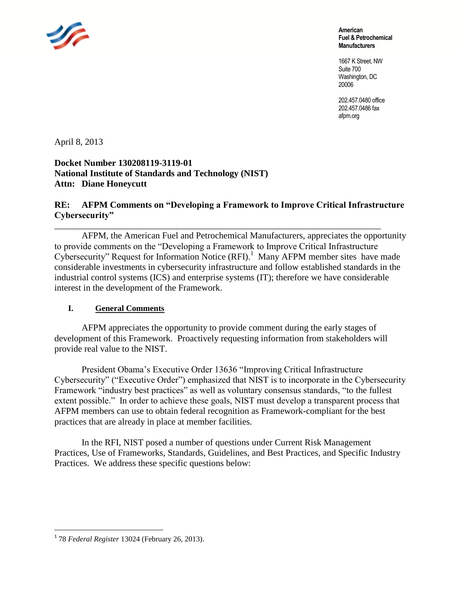

**American Fuel & Petrochemical Manufacturers**

1667 K Street, NW Suite 700 Washington, DC 20006

202.457.0480 office 202.457.0486 fax afpm.org

April 8, 2013

**Docket Number 130208119-3119-01 National Institute of Standards and Technology (NIST) Attn: Diane Honeycutt**

# **RE: AFPM Comments on "Developing a Framework to Improve Critical Infrastructure Cybersecurity"**

\_\_\_\_\_\_\_\_\_\_\_\_\_\_\_\_\_\_\_\_\_\_\_\_\_\_\_\_\_\_\_\_\_\_\_\_\_\_\_\_\_\_\_\_\_\_\_\_\_\_\_\_\_\_\_\_\_\_\_\_\_\_\_\_\_\_\_\_\_\_\_\_ AFPM, the American Fuel and Petrochemical Manufacturers, appreciates the opportunity to provide comments on the "Developing a Framework to Improve Critical Infrastructure Cybersecurity" Request for Information Notice  $(RFI)$ .<sup>1</sup> Many AFPM member sites have made considerable investments in cybersecurity infrastructure and follow established standards in the industrial control systems (ICS) and enterprise systems (IT); therefore we have considerable interest in the development of the Framework.

#### **I. General Comments**

AFPM appreciates the opportunity to provide comment during the early stages of development of this Framework. Proactively requesting information from stakeholders will provide real value to the NIST.

President Obama's Executive Order 13636 "Improving Critical Infrastructure Cybersecurity" ("Executive Order") emphasized that NIST is to incorporate in the Cybersecurity Framework "industry best practices" as well as voluntary consensus standards, "to the fullest extent possible." In order to achieve these goals, NIST must develop a transparent process that AFPM members can use to obtain federal recognition as Framework-compliant for the best practices that are already in place at member facilities.

In the RFI, NIST posed a number of questions under Current Risk Management Practices, Use of Frameworks, Standards, Guidelines, and Best Practices, and Specific Industry Practices. We address these specific questions below:

 $\overline{a}$ 

<sup>1</sup> 78 *Federal Register* 13024 (February 26, 2013).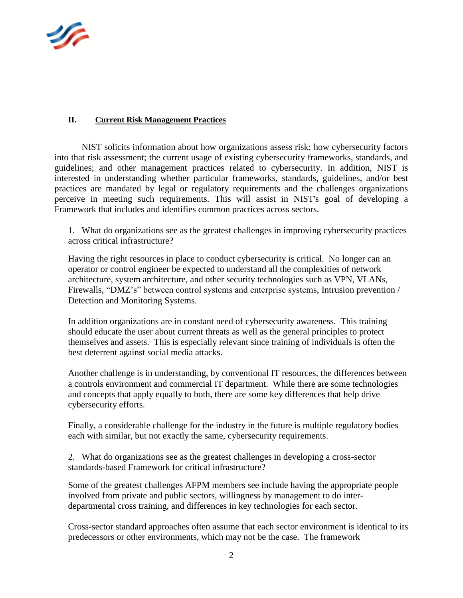

# **II. Current Risk Management Practices**

NIST solicits information about how organizations assess risk; how cybersecurity factors into that risk assessment; the current usage of existing cybersecurity frameworks, standards, and guidelines; and other management practices related to cybersecurity. In addition, NIST is interested in understanding whether particular frameworks, standards, guidelines, and/or best practices are mandated by legal or regulatory requirements and the challenges organizations perceive in meeting such requirements. This will assist in NIST's goal of developing a Framework that includes and identifies common practices across sectors.

1. What do organizations see as the greatest challenges in improving cybersecurity practices across critical infrastructure?

Having the right resources in place to conduct cybersecurity is critical. No longer can an operator or control engineer be expected to understand all the complexities of network architecture, system architecture, and other security technologies such as VPN, VLANs, Firewalls, "DMZ's" between control systems and enterprise systems, Intrusion prevention / Detection and Monitoring Systems.

In addition organizations are in constant need of cybersecurity awareness. This training should educate the user about current threats as well as the general principles to protect themselves and assets. This is especially relevant since training of individuals is often the best deterrent against social media attacks.

Another challenge is in understanding, by conventional IT resources, the differences between a controls environment and commercial IT department. While there are some technologies and concepts that apply equally to both, there are some key differences that help drive cybersecurity efforts.

Finally, a considerable challenge for the industry in the future is multiple regulatory bodies each with similar, but not exactly the same, cybersecurity requirements.

2. What do organizations see as the greatest challenges in developing a cross-sector standards-based Framework for critical infrastructure?

Some of the greatest challenges AFPM members see include having the appropriate people involved from private and public sectors, willingness by management to do interdepartmental cross training, and differences in key technologies for each sector.

Cross-sector standard approaches often assume that each sector environment is identical to its predecessors or other environments, which may not be the case. The framework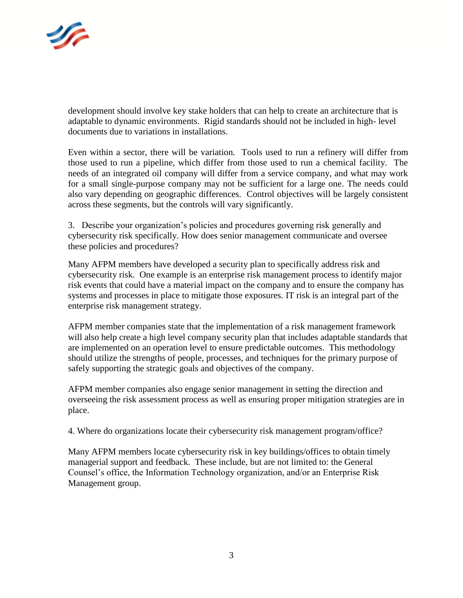

development should involve key stake holders that can help to create an architecture that is adaptable to dynamic environments. Rigid standards should not be included in high- level documents due to variations in installations.

Even within a sector, there will be variation. Tools used to run a refinery will differ from those used to run a pipeline, which differ from those used to run a chemical facility. The needs of an integrated oil company will differ from a service company, and what may work for a small single-purpose company may not be sufficient for a large one. The needs could also vary depending on geographic differences. Control objectives will be largely consistent across these segments, but the controls will vary significantly.

3. Describe your organization's policies and procedures governing risk generally and cybersecurity risk specifically. How does senior management communicate and oversee these policies and procedures?

Many AFPM members have developed a security plan to specifically address risk and cybersecurity risk. One example is an enterprise risk management process to identify major risk events that could have a material impact on the company and to ensure the company has systems and processes in place to mitigate those exposures. IT risk is an integral part of the enterprise risk management strategy.

AFPM member companies state that the implementation of a risk management framework will also help create a high level company security plan that includes adaptable standards that are implemented on an operation level to ensure predictable outcomes. This methodology should utilize the strengths of people, processes, and techniques for the primary purpose of safely supporting the strategic goals and objectives of the company.

AFPM member companies also engage senior management in setting the direction and overseeing the risk assessment process as well as ensuring proper mitigation strategies are in place.

4. Where do organizations locate their cybersecurity risk management program/office?

Many AFPM members locate cybersecurity risk in key buildings/offices to obtain timely managerial support and feedback. These include, but are not limited to: the General Counsel's office, the Information Technology organization, and/or an Enterprise Risk Management group.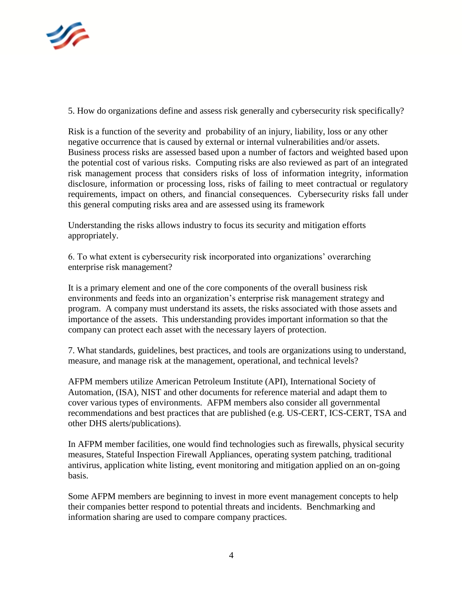

5. How do organizations define and assess risk generally and cybersecurity risk specifically?

Risk is a function of the severity and probability of an injury, liability, loss or any other negative occurrence that is caused by external or internal vulnerabilities and/or assets. Business process risks are assessed based upon a number of factors and weighted based upon the potential cost of various risks. Computing risks are also reviewed as part of an integrated risk management process that considers risks of loss of information integrity, information disclosure, information or processing loss, risks of failing to meet contractual or regulatory requirements, impact on others, and financial consequences. Cybersecurity risks fall under this general computing risks area and are assessed using its framework

Understanding the risks allows industry to focus its security and mitigation efforts appropriately.

6. To what extent is cybersecurity risk incorporated into organizations' overarching enterprise risk management?

It is a primary element and one of the core components of the overall business risk environments and feeds into an organization's enterprise risk management strategy and program. A company must understand its assets, the risks associated with those assets and importance of the assets. This understanding provides important information so that the company can protect each asset with the necessary layers of protection.

7. What standards, guidelines, best practices, and tools are organizations using to understand, measure, and manage risk at the management, operational, and technical levels?

AFPM members utilize American Petroleum Institute (API), International Society of Automation, (ISA), NIST and other documents for reference material and adapt them to cover various types of environments. AFPM members also consider all governmental recommendations and best practices that are published (e.g. US-CERT, ICS-CERT, TSA and other DHS alerts/publications).

In AFPM member facilities, one would find technologies such as firewalls, physical security measures, Stateful Inspection Firewall Appliances, operating system patching, traditional antivirus, application white listing, event monitoring and mitigation applied on an on-going basis.

Some AFPM members are beginning to invest in more event management concepts to help their companies better respond to potential threats and incidents. Benchmarking and information sharing are used to compare company practices.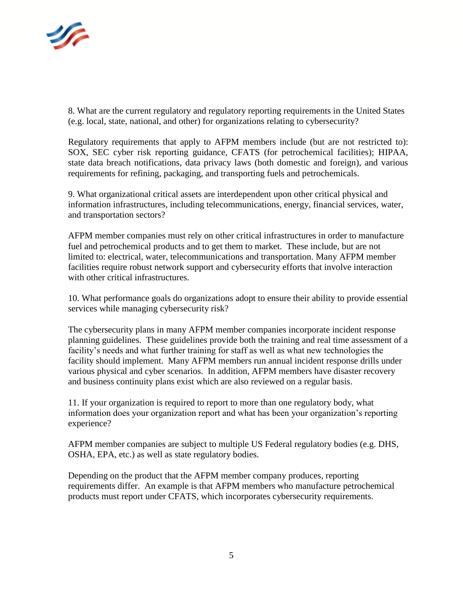

8. What are the current regulatory and regulatory reporting requirements in the United States (e.g. local, state, national, and other) for organizations relating to cybersecurity?

Regulatory requirements that apply to AFPM members include (but are not restricted to): SOX, SEC cyber risk reporting guidance, CFATS (for petrochemical facilities); HIPAA, state data breach notifications, data privacy laws (both domestic and foreign), and various requirements for refining, packaging, and transporting fuels and petrochemicals.

9. What organizational critical assets are interdependent upon other critical physical and information infrastructures, including telecommunications, energy, financial services, water, and transportation sectors?

AFPM member companies must rely on other critical infrastructures in order to manufacture fuel and petrochemical products and to get them to market. These include, but are not limited to: electrical, water, telecommunications and transportation. Many AFPM member facilities require robust network support and cybersecurity efforts that involve interaction with other critical infrastructures.

10. What performance goals do organizations adopt to ensure their ability to provide essential services while managing cybersecurity risk?

The cybersecurity plans in many AFPM member companies incorporate incident response planning guidelines. These guidelines provide both the training and real time assessment of a facility's needs and what further training for staff as well as what new technologies the facility should implement. Many AFPM members run annual incident response drills under various physical and cyber scenarios. In addition, AFPM members have disaster recovery and business continuity plans exist which are also reviewed on a regular basis.

11. If your organization is required to report to more than one regulatory body, what information does your organization report and what has been your organization's reporting experience?

AFPM member companies are subject to multiple US Federal regulatory bodies (e.g. DHS, OSHA, EPA, etc.) as well as state regulatory bodies.

Depending on the product that the AFPM member company produces, reporting requirements differ. An example is that AFPM members who manufacture petrochemical products must report under CFATS, which incorporates cybersecurity requirements.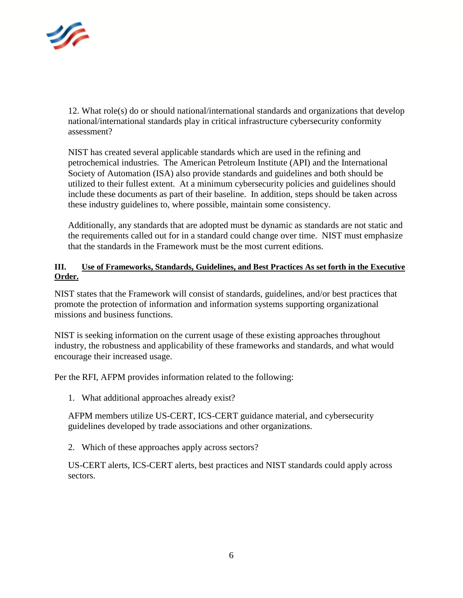

12. What role(s) do or should national/international standards and organizations that develop national/international standards play in critical infrastructure cybersecurity conformity assessment?

NIST has created several applicable standards which are used in the refining and petrochemical industries. The American Petroleum Institute (API) and the International Society of Automation (ISA) also provide standards and guidelines and both should be utilized to their fullest extent. At a minimum cybersecurity policies and guidelines should include these documents as part of their baseline. In addition, steps should be taken across these industry guidelines to, where possible, maintain some consistency.

Additionally, any standards that are adopted must be dynamic as standards are not static and the requirements called out for in a standard could change over time. NIST must emphasize that the standards in the Framework must be the most current editions.

### **III. Use of Frameworks, Standards, Guidelines, and Best Practices As set forth in the Executive Order.**

NIST states that the Framework will consist of standards, guidelines, and/or best practices that promote the protection of information and information systems supporting organizational missions and business functions.

NIST is seeking information on the current usage of these existing approaches throughout industry, the robustness and applicability of these frameworks and standards, and what would encourage their increased usage.

Per the RFI, AFPM provides information related to the following:

1. What additional approaches already exist?

AFPM members utilize US-CERT, ICS-CERT guidance material, and cybersecurity guidelines developed by trade associations and other organizations.

2. Which of these approaches apply across sectors?

US-CERT alerts, ICS-CERT alerts, best practices and NIST standards could apply across sectors.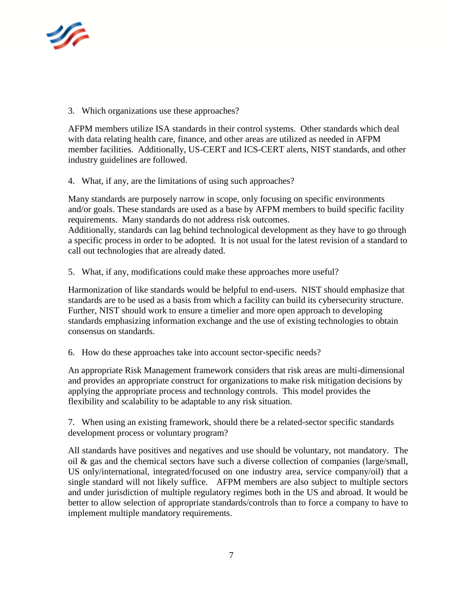

3. Which organizations use these approaches?

AFPM members utilize ISA standards in their control systems. Other standards which deal with data relating health care, finance, and other areas are utilized as needed in AFPM member facilities. Additionally, US-CERT and ICS-CERT alerts, NIST standards, and other industry guidelines are followed.

4. What, if any, are the limitations of using such approaches?

Many standards are purposely narrow in scope, only focusing on specific environments and/or goals. These standards are used as a base by AFPM members to build specific facility requirements. Many standards do not address risk outcomes.

Additionally, standards can lag behind technological development as they have to go through a specific process in order to be adopted. It is not usual for the latest revision of a standard to call out technologies that are already dated.

5. What, if any, modifications could make these approaches more useful?

Harmonization of like standards would be helpful to end-users. NIST should emphasize that standards are to be used as a basis from which a facility can build its cybersecurity structure. Further, NIST should work to ensure a timelier and more open approach to developing standards emphasizing information exchange and the use of existing technologies to obtain consensus on standards.

6. How do these approaches take into account sector-specific needs?

An appropriate Risk Management framework considers that risk areas are multi-dimensional and provides an appropriate construct for organizations to make risk mitigation decisions by applying the appropriate process and technology controls. This model provides the flexibility and scalability to be adaptable to any risk situation.

7. When using an existing framework, should there be a related-sector specific standards development process or voluntary program?

All standards have positives and negatives and use should be voluntary, not mandatory. The oil & gas and the chemical sectors have such a diverse collection of companies (large/small, US only/international, integrated/focused on one industry area, service company/oil) that a single standard will not likely suffice. AFPM members are also subject to multiple sectors and under jurisdiction of multiple regulatory regimes both in the US and abroad. It would be better to allow selection of appropriate standards/controls than to force a company to have to implement multiple mandatory requirements.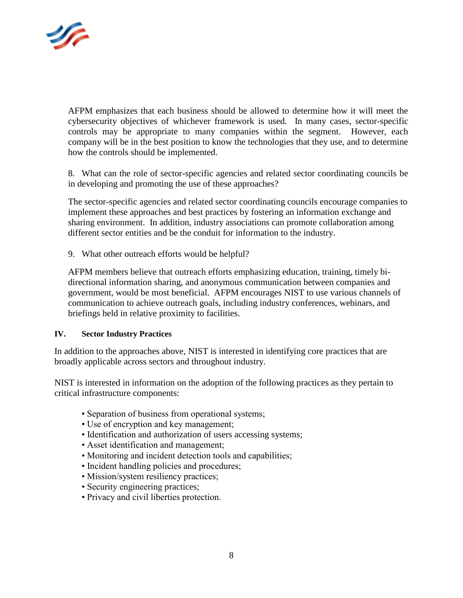

AFPM emphasizes that each business should be allowed to determine how it will meet the cybersecurity objectives of whichever framework is used. In many cases, sector-specific controls may be appropriate to many companies within the segment. However, each company will be in the best position to know the technologies that they use, and to determine how the controls should be implemented.

8. What can the role of sector-specific agencies and related sector coordinating councils be in developing and promoting the use of these approaches?

The sector-specific agencies and related sector coordinating councils encourage companies to implement these approaches and best practices by fostering an information exchange and sharing environment. In addition, industry associations can promote collaboration among different sector entities and be the conduit for information to the industry.

9. What other outreach efforts would be helpful?

AFPM members believe that outreach efforts emphasizing education, training, timely bidirectional information sharing, and anonymous communication between companies and government, would be most beneficial. AFPM encourages NIST to use various channels of communication to achieve outreach goals, including industry conferences, webinars, and briefings held in relative proximity to facilities.

#### **IV. Sector Industry Practices**

In addition to the approaches above, NIST is interested in identifying core practices that are broadly applicable across sectors and throughout industry.

NIST is interested in information on the adoption of the following practices as they pertain to critical infrastructure components:

- Separation of business from operational systems;
- Use of encryption and key management;
- Identification and authorization of users accessing systems;
- Asset identification and management;
- Monitoring and incident detection tools and capabilities;
- Incident handling policies and procedures;
- Mission/system resiliency practices;
- Security engineering practices;
- Privacy and civil liberties protection.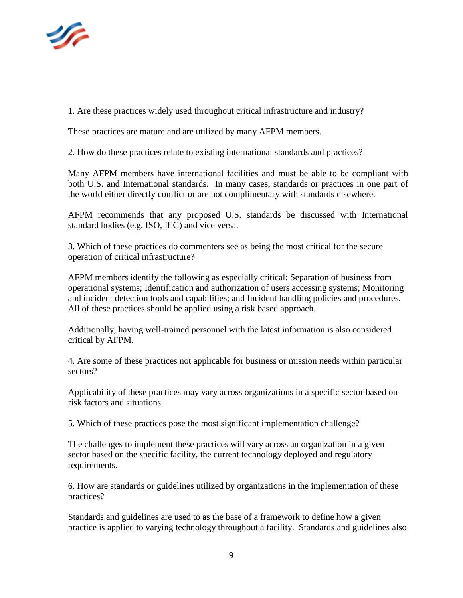

1. Are these practices widely used throughout critical infrastructure and industry?

These practices are mature and are utilized by many AFPM members.

2. How do these practices relate to existing international standards and practices?

Many AFPM members have international facilities and must be able to be compliant with both U.S. and International standards. In many cases, standards or practices in one part of the world either directly conflict or are not complimentary with standards elsewhere.

AFPM recommends that any proposed U.S. standards be discussed with International standard bodies (e.g. ISO, IEC) and vice versa.

3. Which of these practices do commenters see as being the most critical for the secure operation of critical infrastructure?

AFPM members identify the following as especially critical: Separation of business from operational systems; Identification and authorization of users accessing systems; Monitoring and incident detection tools and capabilities; and Incident handling policies and procedures. All of these practices should be applied using a risk based approach.

Additionally, having well-trained personnel with the latest information is also considered critical by AFPM.

4. Are some of these practices not applicable for business or mission needs within particular sectors?

Applicability of these practices may vary across organizations in a specific sector based on risk factors and situations.

5. Which of these practices pose the most significant implementation challenge?

The challenges to implement these practices will vary across an organization in a given sector based on the specific facility, the current technology deployed and regulatory requirements.

6. How are standards or guidelines utilized by organizations in the implementation of these practices?

Standards and guidelines are used to as the base of a framework to define how a given practice is applied to varying technology throughout a facility. Standards and guidelines also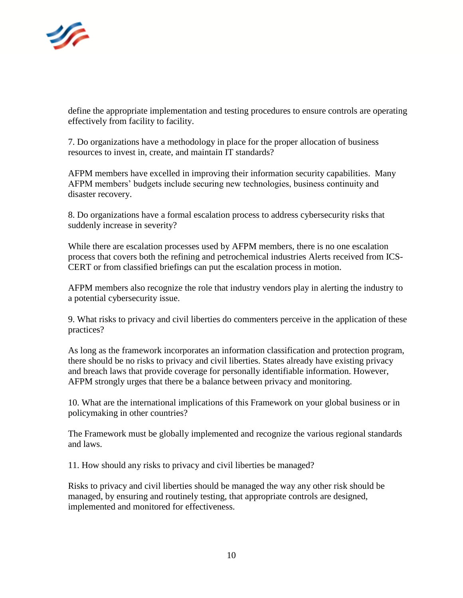

define the appropriate implementation and testing procedures to ensure controls are operating effectively from facility to facility.

7. Do organizations have a methodology in place for the proper allocation of business resources to invest in, create, and maintain IT standards?

AFPM members have excelled in improving their information security capabilities. Many AFPM members' budgets include securing new technologies, business continuity and disaster recovery.

8. Do organizations have a formal escalation process to address cybersecurity risks that suddenly increase in severity?

While there are escalation processes used by AFPM members, there is no one escalation process that covers both the refining and petrochemical industries Alerts received from ICS-CERT or from classified briefings can put the escalation process in motion.

AFPM members also recognize the role that industry vendors play in alerting the industry to a potential cybersecurity issue.

9. What risks to privacy and civil liberties do commenters perceive in the application of these practices?

As long as the framework incorporates an information classification and protection program, there should be no risks to privacy and civil liberties. States already have existing privacy and breach laws that provide coverage for personally identifiable information. However, AFPM strongly urges that there be a balance between privacy and monitoring.

10. What are the international implications of this Framework on your global business or in policymaking in other countries?

The Framework must be globally implemented and recognize the various regional standards and laws.

11. How should any risks to privacy and civil liberties be managed?

Risks to privacy and civil liberties should be managed the way any other risk should be managed, by ensuring and routinely testing, that appropriate controls are designed, implemented and monitored for effectiveness.